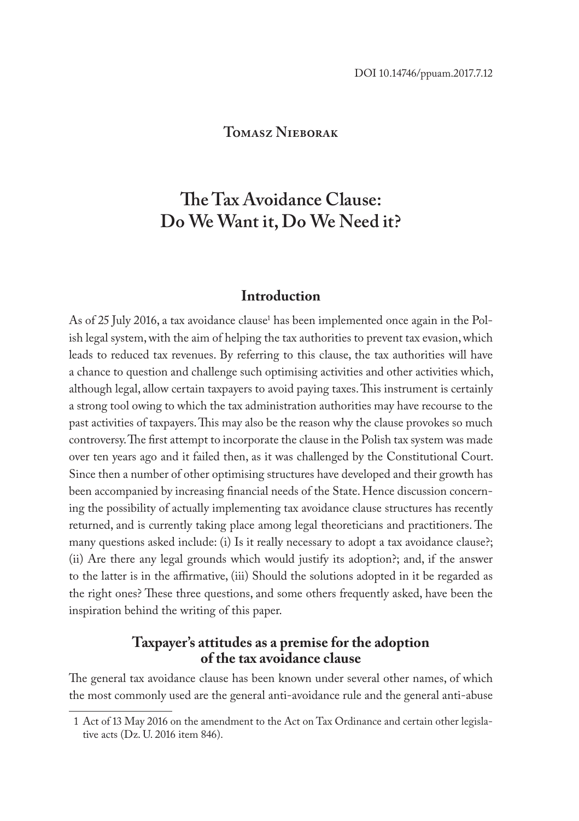### **Tomasz Nieborak**

# **The Tax Avoidance Clause: Do We Want it, Do We Need it?**

### **Introduction**

As of 25 July 2016, a tax avoidance clause<sup>1</sup> has been implemented once again in the Polish legal system, with the aim of helping the tax authorities to prevent tax evasion, which leads to reduced tax revenues. By referring to this clause, the tax authorities will have a chance to question and challenge such optimising activities and other activities which, although legal, allow certain taxpayers to avoid paying taxes. This instrument is certainly a strong tool owing to which the tax administration authorities may have recourse to the past activities of taxpayers. This may also be the reason why the clause provokes so much controversy. The first attempt to incorporate the clause in the Polish tax system was made over ten years ago and it failed then, as it was challenged by the Constitutional Court. Since then a number of other optimising structures have developed and their growth has been accompanied by increasing financial needs of the State. Hence discussion concerning the possibility of actually implementing tax avoidance clause structures has recently returned, and is currently taking place among legal theoreticians and practitioners. The many questions asked include: (i) Is it really necessary to adopt a tax avoidance clause?; (ii) Are there any legal grounds which would justify its adoption?; and, if the answer to the latter is in the affirmative, (iii) Should the solutions adopted in it be regarded as the right ones? These three questions, and some others frequently asked, have been the inspiration behind the writing of this paper.

### **Taxpayer's attitudes as a premise for the adoption of the tax avoidance clause**

The general tax avoidance clause has been known under several other names, of which the most commonly used are the general anti-avoidance rule and the general anti-abuse

<sup>1</sup> Act of 13 May 2016 on the amendment to the Act on Tax Ordinance and certain other legislative acts (Dz. U. 2016 item 846).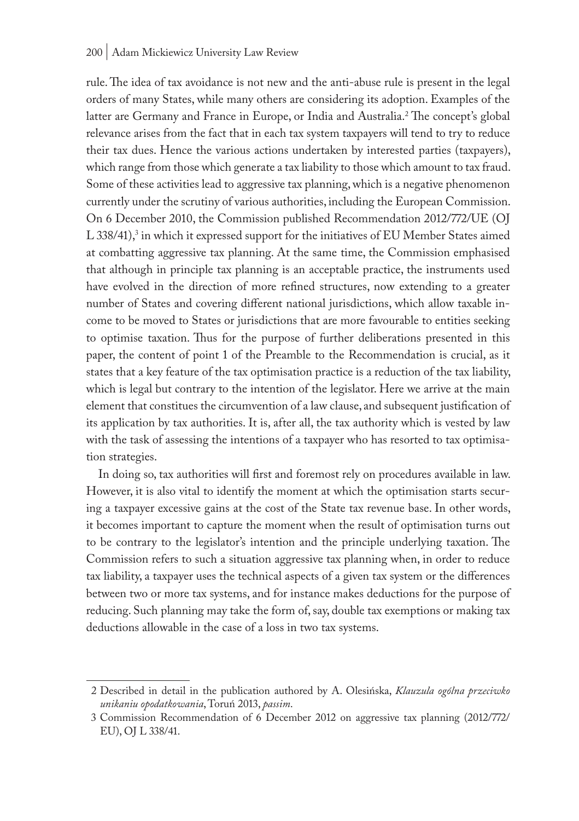#### 200 | Adam Mickiewicz University Law Review

rule. The idea of tax avoidance is not new and the anti-abuse rule is present in the legal orders of many States, while many others are considering its adoption. Examples of the latter are Germany and France in Europe, or India and Australia.<sup>2</sup>The concept's global relevance arises from the fact that in each tax system taxpayers will tend to try to reduce their tax dues. Hence the various actions undertaken by interested parties (taxpayers), which range from those which generate a tax liability to those which amount to tax fraud. Some of these activities lead to aggressive tax planning, which is a negative phenomenon currently under the scrutiny of various authorities, including the European Commission. On 6 December 2010, the Commission published Recommendation 2012/772/UE (OJ  $L$  338/41), $^3$  in which it expressed support for the initiatives of EU Member States aimed at combatting aggressive tax planning. At the same time, the Commission emphasised that although in principle tax planning is an acceptable practice, the instruments used have evolved in the direction of more refined structures, now extending to a greater number of States and covering different national jurisdictions, which allow taxable income to be moved to States or jurisdictions that are more favourable to entities seeking to optimise taxation. Thus for the purpose of further deliberations presented in this paper, the content of point 1 of the Preamble to the Recommendation is crucial, as it states that a key feature of the tax optimisation practice is a reduction of the tax liability, which is legal but contrary to the intention of the legislator. Here we arrive at the main element that constitues the circumvention of a law clause, and subsequent justification of its application by tax authorities. It is, after all, the tax authority which is vested by law with the task of assessing the intentions of a taxpayer who has resorted to tax optimisation strategies.

In doing so, tax authorities will first and foremost rely on procedures available in law. However, it is also vital to identify the moment at which the optimisation starts securing a taxpayer excessive gains at the cost of the State tax revenue base. In other words, it becomes important to capture the moment when the result of optimisation turns out to be contrary to the legislator's intention and the principle underlying taxation. The Commission refers to such a situation aggressive tax planning when, in order to reduce tax liability, a taxpayer uses the technical aspects of a given tax system or the differences between two or more tax systems, and for instance makes deductions for the purpose of reducing. Such planning may take the form of, say, double tax exemptions or making tax deductions allowable in the case of a loss in two tax systems.

<sup>2</sup> Described in detail in the publication authored by A. Olesińska, *Klauzula ogólna przeciwko unikaniu opodatkowania*, Toruń 2013, *passim*.

<sup>3</sup> Commission Recommendation of 6 December 2012 on aggressive tax planning (2012/772/ EU), OJ L 338/41.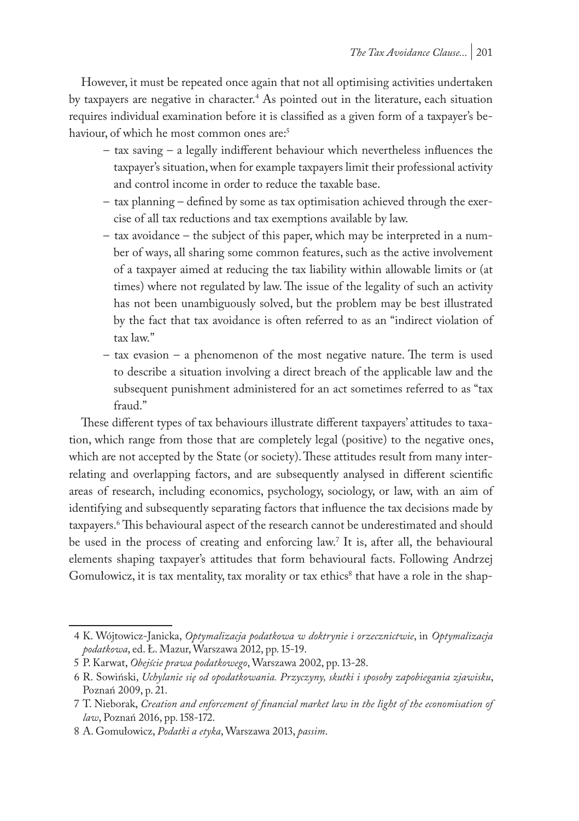However, it must be repeated once again that not all optimising activities undertaken by taxpayers are negative in character.<sup>4</sup> As pointed out in the literature, each situation requires individual examination before it is classified as a given form of a taxpayer's behaviour, of which he most common ones are:<sup>5</sup>

- tax saving a legally indifferent behaviour which nevertheless influences the taxpayer's situation, when for example taxpayers limit their professional activity and control income in order to reduce the taxable base.
- tax planning defined by some as tax optimisation achieved through the exercise of all tax reductions and tax exemptions available by law.
- tax avoidance the subject of this paper, which may be interpreted in a number of ways, all sharing some common features, such as the active involvement of a taxpayer aimed at reducing the tax liability within allowable limits or (at times) where not regulated by law. The issue of the legality of such an activity has not been unambiguously solved, but the problem may be best illustrated by the fact that tax avoidance is often referred to as an "indirect violation of tax law."
- tax evasion a phenomenon of the most negative nature. The term is used to describe a situation involving a direct breach of the applicable law and the subsequent punishment administered for an act sometimes referred to as "tax fraud."

These different types of tax behaviours illustrate different taxpayers' attitudes to taxation, which range from those that are completely legal (positive) to the negative ones, which are not accepted by the State (or society). These attitudes result from many interrelating and overlapping factors, and are subsequently analysed in different scientific areas of research, including economics, psychology, sociology, or law, with an aim of identifying and subsequently separating factors that influence the tax decisions made by taxpayers.6 This behavioural aspect of the research cannot be underestimated and should be used in the process of creating and enforcing law.7 It is, after all, the behavioural elements shaping taxpayer's attitudes that form behavioural facts. Following Andrzej Gomułowicz, it is tax mentality, tax morality or tax ethics<sup>8</sup> that have a role in the shap-

<sup>4</sup> K. Wójtowicz-Janicka, *Optymalizacja podatkowa w doktrynie i orzecznictwie*, in *Optymalizacja podatkowa*, ed. Ł. Mazur, Warszawa 2012, pp. 15-19.

<sup>5</sup> P. Karwat, *Obejście prawa podatkowego*, Warszawa 2002, pp. 13-28.

<sup>6</sup> R. Sowiński, *Uchylanie się od opodatkowania. Przyczyny, skutki i sposoby zapobiegania zjawisku*, Poznań 2009, p. 21.

<sup>7</sup> T. Nieborak, *Creation and enforcement of financial market law in the light of the economisation of law*, Poznań 2016, pp. 158-172.

<sup>8</sup> A. Gomułowicz, *Podatki a etyka*, Warszawa 2013, *passim*.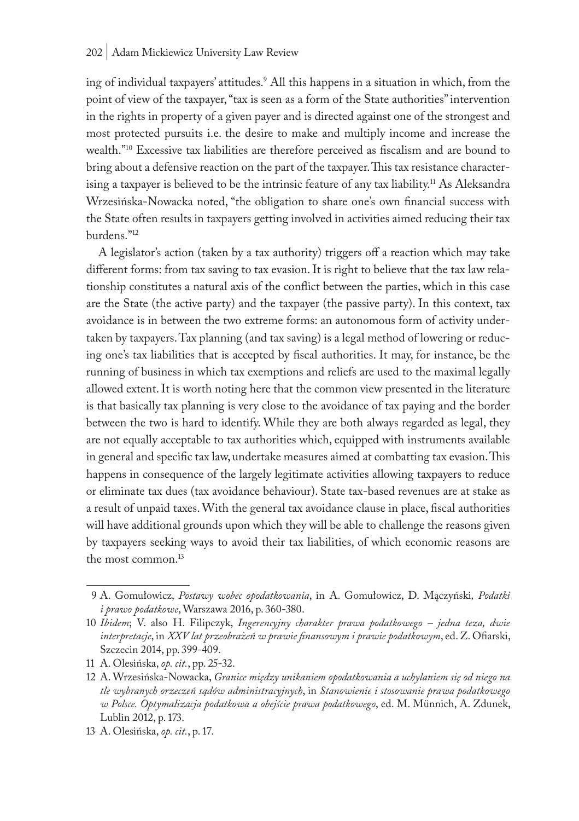ing of individual taxpayers' attitudes.9 All this happens in a situation in which, from the point of view of the taxpayer, "tax is seen as a form of the State authorities" intervention in the rights in property of a given payer and is directed against one of the strongest and most protected pursuits i.e. the desire to make and multiply income and increase the wealth."10 Excessive tax liabilities are therefore perceived as fiscalism and are bound to bring about a defensive reaction on the part of the taxpayer. This tax resistance characterising a taxpayer is believed to be the intrinsic feature of any tax liability.<sup>11</sup> As Aleksandra Wrzesińska-Nowacka noted, "the obligation to share one's own financial success with the State often results in taxpayers getting involved in activities aimed reducing their tax burdens."12

A legislator's action (taken by a tax authority) triggers off a reaction which may take different forms: from tax saving to tax evasion. It is right to believe that the tax law relationship constitutes a natural axis of the conflict between the parties, which in this case are the State (the active party) and the taxpayer (the passive party). In this context, tax avoidance is in between the two extreme forms: an autonomous form of activity undertaken by taxpayers. Tax planning (and tax saving) is a legal method of lowering or reducing one's tax liabilities that is accepted by fiscal authorities. It may, for instance, be the running of business in which tax exemptions and reliefs are used to the maximal legally allowed extent. It is worth noting here that the common view presented in the literature is that basically tax planning is very close to the avoidance of tax paying and the border between the two is hard to identify. While they are both always regarded as legal, they are not equally acceptable to tax authorities which, equipped with instruments available in general and specific tax law, undertake measures aimed at combatting tax evasion. This happens in consequence of the largely legitimate activities allowing taxpayers to reduce or eliminate tax dues (tax avoidance behaviour). State tax-based revenues are at stake as a result of unpaid taxes. With the general tax avoidance clause in place, fiscal authorities will have additional grounds upon which they will be able to challenge the reasons given by taxpayers seeking ways to avoid their tax liabilities, of which economic reasons are the most common.13

<sup>9</sup> A. Gomułowicz, *Postawy wobec opodatkowania*, in A. Gomułowicz, D. Mączyński*, Podatki i prawo podatkowe*, Warszawa 2016, p. 360-380.

<sup>10</sup> *Ibidem*; V. also H. Filipczyk, *Ingerencyjny charakter prawa podatkowego – jedna teza, dwie interpretacje*, in *XXV lat przeobrażeń w prawie finansowym i prawie podatkowym*, ed. Z. Ofiarski, Szczecin 2014, pp. 399-409.

<sup>11</sup> A. Olesińska, *op. cit.*, pp. 25-32.

<sup>12</sup> A. Wrzesińska-Nowacka, *Granice między unikaniem opodatkowania a uchylaniem się od niego na tle wybranych orzeczeń sądów administracyjnych*, in *Stanowienie i stosowanie prawa podatkowego w Polsce. Optymalizacja podatkowa a obejście prawa podatkowego*, ed. M. Münnich, A. Zdunek, Lublin 2012, p. 173.

<sup>13</sup> A. Olesińska, *op. cit.*, p. 17.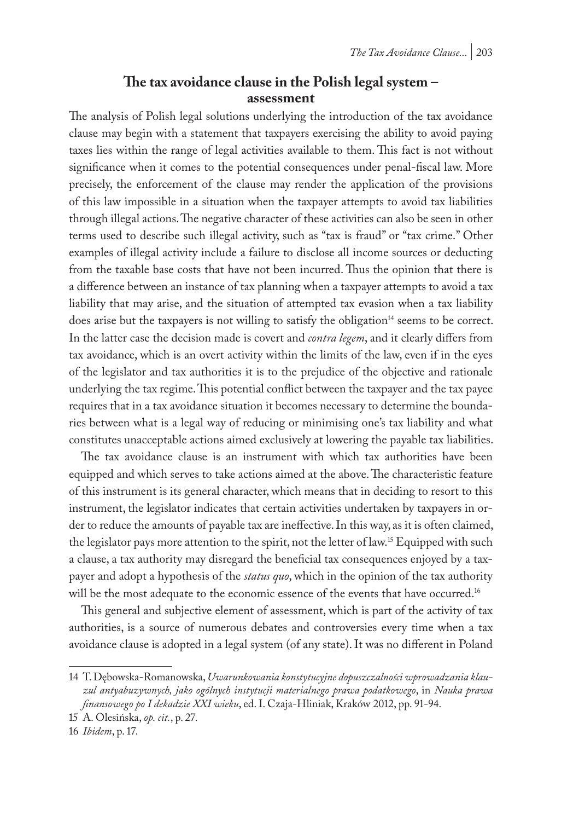## **The tax avoidance clause in the Polish legal system – assessment**

The analysis of Polish legal solutions underlying the introduction of the tax avoidance clause may begin with a statement that taxpayers exercising the ability to avoid paying taxes lies within the range of legal activities available to them. This fact is not without significance when it comes to the potential consequences under penal-fiscal law. More precisely, the enforcement of the clause may render the application of the provisions of this law impossible in a situation when the taxpayer attempts to avoid tax liabilities through illegal actions. The negative character of these activities can also be seen in other terms used to describe such illegal activity, such as "tax is fraud" or "tax crime." Other examples of illegal activity include a failure to disclose all income sources or deducting from the taxable base costs that have not been incurred. Thus the opinion that there is a difference between an instance of tax planning when a taxpayer attempts to avoid a tax liability that may arise, and the situation of attempted tax evasion when a tax liability does arise but the taxpayers is not willing to satisfy the obligation<sup>14</sup> seems to be correct. In the latter case the decision made is covert and *contra legem*, and it clearly differs from tax avoidance, which is an overt activity within the limits of the law, even if in the eyes of the legislator and tax authorities it is to the prejudice of the objective and rationale underlying the tax regime. This potential conflict between the taxpayer and the tax payee requires that in a tax avoidance situation it becomes necessary to determine the boundaries between what is a legal way of reducing or minimising one's tax liability and what constitutes unacceptable actions aimed exclusively at lowering the payable tax liabilities.

The tax avoidance clause is an instrument with which tax authorities have been equipped and which serves to take actions aimed at the above. The characteristic feature of this instrument is its general character, which means that in deciding to resort to this instrument, the legislator indicates that certain activities undertaken by taxpayers in order to reduce the amounts of payable tax are ineffective. In this way, as it is often claimed, the legislator pays more attention to the spirit, not the letter of law.<sup>15</sup> Equipped with such a clause, a tax authority may disregard the beneficial tax consequences enjoyed by a taxpayer and adopt a hypothesis of the *status quo*, which in the opinion of the tax authority will be the most adequate to the economic essence of the events that have occurred.<sup>16</sup>

This general and subjective element of assessment, which is part of the activity of tax authorities, is a source of numerous debates and controversies every time when a tax avoidance clause is adopted in a legal system (of any state). It was no different in Poland

<sup>14</sup> T. Dębowska-Romanowska, *Uwarunkowania konstytucyjne dopuszczalności wprowadzania klauzul antyabuzywnych, jako ogólnych instytucji materialnego prawa podatkowego*, in *Nauka prawa finansowego po I dekadzie XXI wieku*, ed. I. Czaja-Hliniak, Kraków 2012, pp. 91-94.

<sup>15</sup> A. Olesińska, *op. cit.*, p. 27.

<sup>16</sup> *Ibidem*, p. 17.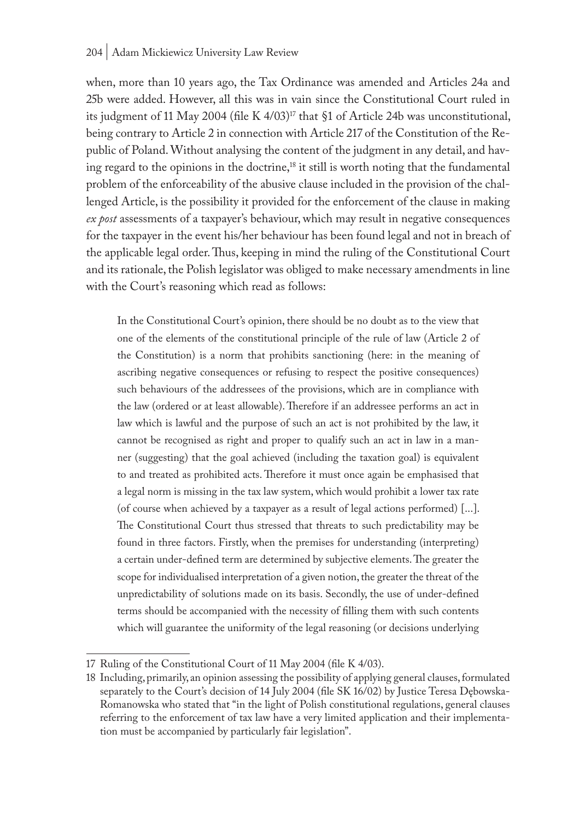when, more than 10 years ago, the Tax Ordinance was amended and Articles 24a and 25b were added. However, all this was in vain since the Constitutional Court ruled in its judgment of 11 May 2004 (file K  $4/03$ )<sup>17</sup> that §1 of Article 24b was unconstitutional, being contrary to Article 2 in connection with Article 217 of the Constitution of the Republic of Poland. Without analysing the content of the judgment in any detail, and having regard to the opinions in the doctrine,<sup>18</sup> it still is worth noting that the fundamental problem of the enforceability of the abusive clause included in the provision of the challenged Article, is the possibility it provided for the enforcement of the clause in making *ex post* assessments of a taxpayer's behaviour, which may result in negative consequences for the taxpayer in the event his/her behaviour has been found legal and not in breach of the applicable legal order. Thus, keeping in mind the ruling of the Constitutional Court and its rationale, the Polish legislator was obliged to make necessary amendments in line with the Court's reasoning which read as follows:

In the Constitutional Court's opinion, there should be no doubt as to the view that one of the elements of the constitutional principle of the rule of law (Article 2 of the Constitution) is a norm that prohibits sanctioning (here: in the meaning of ascribing negative consequences or refusing to respect the positive consequences) such behaviours of the addressees of the provisions, which are in compliance with the law (ordered or at least allowable). Therefore if an addressee performs an act in law which is lawful and the purpose of such an act is not prohibited by the law, it cannot be recognised as right and proper to qualify such an act in law in a manner (suggesting) that the goal achieved (including the taxation goal) is equivalent to and treated as prohibited acts. Therefore it must once again be emphasised that a legal norm is missing in the tax law system, which would prohibit a lower tax rate (of course when achieved by a taxpayer as a result of legal actions performed) [...]. The Constitutional Court thus stressed that threats to such predictability may be found in three factors. Firstly, when the premises for understanding (interpreting) a certain under-defined term are determined by subjective elements. The greater the scope for individualised interpretation of a given notion, the greater the threat of the unpredictability of solutions made on its basis. Secondly, the use of under-defined terms should be accompanied with the necessity of filling them with such contents which will guarantee the uniformity of the legal reasoning (or decisions underlying

<sup>17</sup> Ruling of the Constitutional Court of 11 May 2004 (file K 4/03).

<sup>18</sup> Including, primarily, an opinion assessing the possibility of applying general clauses, formulated separately to the Court's decision of 14 July 2004 (file SK 16/02) by Justice Teresa Dębowska-Romanowska who stated that "in the light of Polish constitutional regulations, general clauses referring to the enforcement of tax law have a very limited application and their implementation must be accompanied by particularly fair legislation".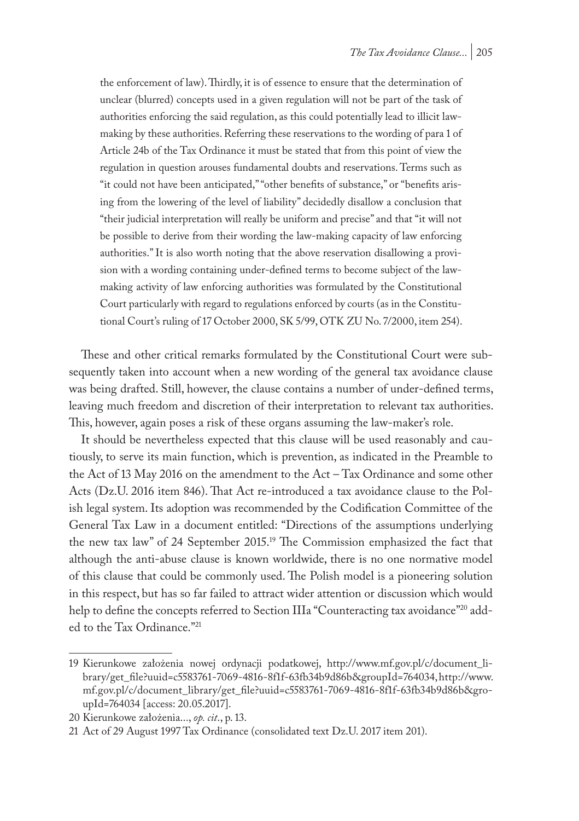the enforcement of law). Thirdly, it is of essence to ensure that the determination of unclear (blurred) concepts used in a given regulation will not be part of the task of authorities enforcing the said regulation, as this could potentially lead to illicit lawmaking by these authorities. Referring these reservations to the wording of para 1 of Article 24b of the Tax Ordinance it must be stated that from this point of view the regulation in question arouses fundamental doubts and reservations. Terms such as "it could not have been anticipated," "other benefits of substance," or "benefits arising from the lowering of the level of liability" decidedly disallow a conclusion that "their judicial interpretation will really be uniform and precise" and that "it will not be possible to derive from their wording the law-making capacity of law enforcing authorities." It is also worth noting that the above reservation disallowing a provision with a wording containing under-defined terms to become subject of the lawmaking activity of law enforcing authorities was formulated by the Constitutional Court particularly with regard to regulations enforced by courts (as in the Constitutional Court's ruling of 17 October 2000, SK 5/99, OTK ZU No. 7/2000, item 254).

These and other critical remarks formulated by the Constitutional Court were subsequently taken into account when a new wording of the general tax avoidance clause was being drafted. Still, however, the clause contains a number of under-defined terms, leaving much freedom and discretion of their interpretation to relevant tax authorities. This, however, again poses a risk of these organs assuming the law-maker's role.

It should be nevertheless expected that this clause will be used reasonably and cautiously, to serve its main function, which is prevention, as indicated in the Preamble to the Act of 13 May 2016 on the amendment to the Act – Tax Ordinance and some other Acts (Dz.U. 2016 item 846). That Act re-introduced a tax avoidance clause to the Polish legal system. Its adoption was recommended by the Codification Committee of the General Tax Law in a document entitled: "Directions of the assumptions underlying the new tax law" of 24 September 2015.19 The Commission emphasized the fact that although the anti-abuse clause is known worldwide, there is no one normative model of this clause that could be commonly used. The Polish model is a pioneering solution in this respect, but has so far failed to attract wider attention or discussion which would help to define the concepts referred to Section IIIa "Counteracting tax avoidance"<sup>20</sup> added to the Tax Ordinance."21

<sup>19</sup> Kierunkowe założenia nowej ordynacji podatkowej, http://www.mf.gov.pl/c/document\_library/get\_file?uuid=c5583761-7069-4816-8f1f-63fb34b9d86b&groupId=764034,http://www. mf.gov.pl/c/document\_library/get\_file?uuid=c5583761-7069-4816-8f1f-63fb34b9d86b&groupId=764034 [access: 20.05.2017].

<sup>20</sup> Kierunkowe założenia..., *op. cit*., p. 13.

<sup>21</sup> Act of 29 August 1997 Tax Ordinance (consolidated text Dz.U. 2017 item 201).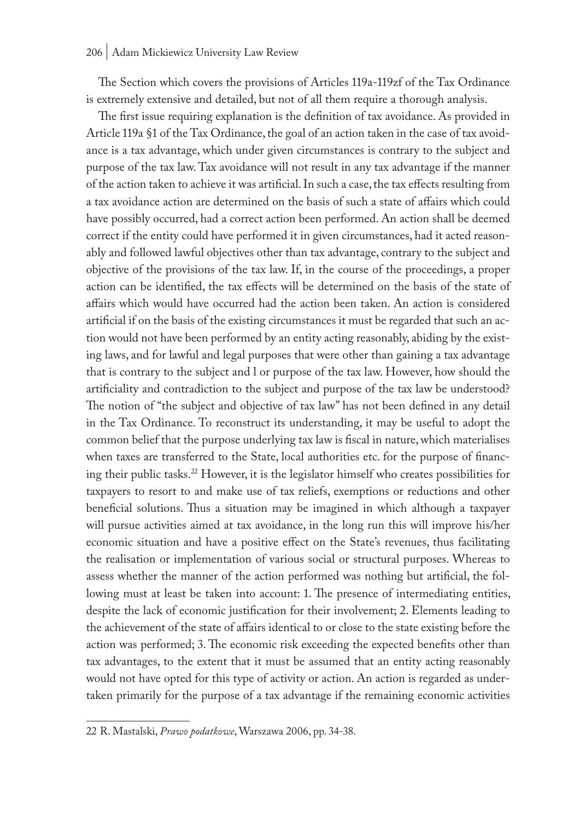The Section which covers the provisions of Articles 119a-119zf of the Tax Ordinance is extremely extensive and detailed, but not of all them require a thorough analysis.

The first issue requiring explanation is the definition of tax avoidance. As provided in Article 119a §1 of the Tax Ordinance, the goal of an action taken in the case of tax avoidance is a tax advantage, which under given circumstances is contrary to the subject and purpose of the tax law. Tax avoidance will not result in any tax advantage if the manner of the action taken to achieve it was artificial. In such a case, the tax effects resulting from a tax avoidance action are determined on the basis of such a state of affairs which could have possibly occurred, had a correct action been performed. An action shall be deemed correct if the entity could have performed it in given circumstances, had it acted reasonably and followed lawful objectives other than tax advantage, contrary to the subject and objective of the provisions of the tax law. If, in the course of the proceedings, a proper action can be identified, the tax effects will be determined on the basis of the state of affairs which would have occurred had the action been taken. An action is considered artificial if on the basis of the existing circumstances it must be regarded that such an action would not have been performed by an entity acting reasonably, abiding by the existing laws, and for lawful and legal purposes that were other than gaining a tax advantage that is contrary to the subject and l or purpose of the tax law. However, how should the artificiality and contradiction to the subject and purpose of the tax law be understood? The notion of "the subject and objective of tax law" has not been defined in any detail in the Tax Ordinance. To reconstruct its understanding, it may be useful to adopt the common belief that the purpose underlying tax law is fiscal in nature, which materialises when taxes are transferred to the State, local authorities etc. for the purpose of financing their public tasks.22 However, it is the legislator himself who creates possibilities for taxpayers to resort to and make use of tax reliefs, exemptions or reductions and other beneficial solutions. Thus a situation may be imagined in which although a taxpayer will pursue activities aimed at tax avoidance, in the long run this will improve his/her economic situation and have a positive effect on the State's revenues, thus facilitating the realisation or implementation of various social or structural purposes. Whereas to assess whether the manner of the action performed was nothing but artificial, the following must at least be taken into account: 1. The presence of intermediating entities, despite the lack of economic justification for their involvement; 2. Elements leading to the achievement of the state of affairs identical to or close to the state existing before the action was performed; 3. The economic risk exceeding the expected benefits other than tax advantages, to the extent that it must be assumed that an entity acting reasonably would not have opted for this type of activity or action. An action is regarded as undertaken primarily for the purpose of a tax advantage if the remaining economic activities

<sup>22</sup> R. Mastalski, *Prawo podatkowe*, Warszawa 2006, pp. 34-38.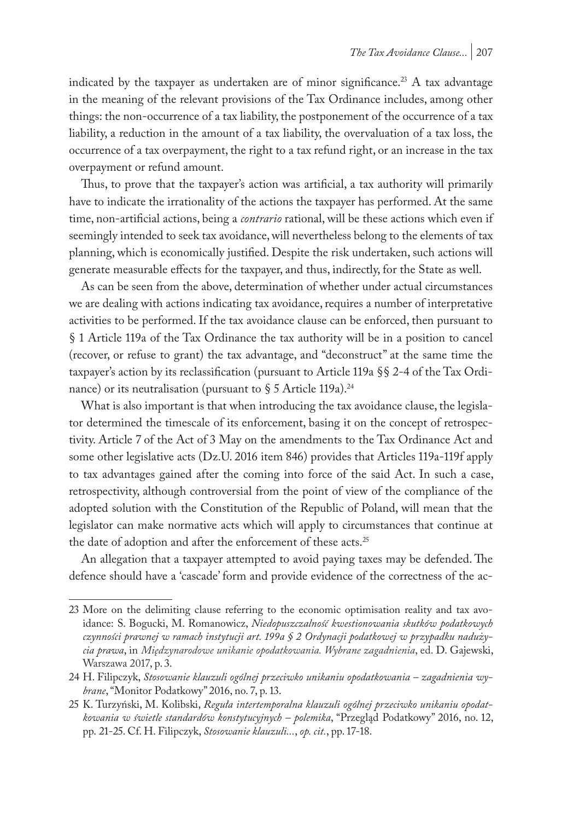indicated by the taxpayer as undertaken are of minor significance.<sup>23</sup> A tax advantage in the meaning of the relevant provisions of the Tax Ordinance includes, among other things: the non-occurrence of a tax liability, the postponement of the occurrence of a tax liability, a reduction in the amount of a tax liability, the overvaluation of a tax loss, the occurrence of a tax overpayment, the right to a tax refund right, or an increase in the tax overpayment or refund amount.

Thus, to prove that the taxpayer's action was artificial, a tax authority will primarily have to indicate the irrationality of the actions the taxpayer has performed. At the same time, non-artificial actions, being a *contrario* rational, will be these actions which even if seemingly intended to seek tax avoidance, will nevertheless belong to the elements of tax planning, which is economically justified. Despite the risk undertaken, such actions will generate measurable effects for the taxpayer, and thus, indirectly, for the State as well.

As can be seen from the above, determination of whether under actual circumstances we are dealing with actions indicating tax avoidance, requires a number of interpretative activities to be performed. If the tax avoidance clause can be enforced, then pursuant to § 1 Article 119a of the Tax Ordinance the tax authority will be in a position to cancel (recover, or refuse to grant) the tax advantage, and "deconstruct" at the same time the taxpayer's action by its reclassification (pursuant to Article 119a §§ 2-4 of the Tax Ordinance) or its neutralisation (pursuant to  $\S$  5 Article 119a).<sup>24</sup>

What is also important is that when introducing the tax avoidance clause, the legislator determined the timescale of its enforcement, basing it on the concept of retrospectivity. Article 7 of the Act of 3 May on the amendments to the Tax Ordinance Act and some other legislative acts (Dz.U. 2016 item 846) provides that Articles 119a-119f apply to tax advantages gained after the coming into force of the said Act. In such a case, retrospectivity, although controversial from the point of view of the compliance of the adopted solution with the Constitution of the Republic of Poland, will mean that the legislator can make normative acts which will apply to circumstances that continue at the date of adoption and after the enforcement of these acts.<sup>25</sup>

An allegation that a taxpayer attempted to avoid paying taxes may be defended. The defence should have a 'cascade' form and provide evidence of the correctness of the ac-

<sup>23</sup> More on the delimiting clause referring to the economic optimisation reality and tax avoidance: S. Bogucki, M. Romanowicz, *Niedopuszczalność kwestionowania skutków podatkowych czynności prawnej w ramach instytucji art. 199a § 2 Ordynacji podatkowej w przypadku nadużycia prawa*, in *Międzynarodowe unikanie opodatkowania. Wybrane zagadnienia*, ed. D. Gajewski, Warszawa 2017, p. 3.

<sup>24</sup> H. Filipczyk, *Stosowanie klauzuli ogólnej przeciwko unikaniu opodatkowania – zagadnienia wybrane*, "Monitor Podatkowy" 2016, no. 7, p. 13.

<sup>25</sup> K. Turzyński, M. Kolibski, *Reguła intertemporalna klauzuli ogólnej przeciwko unikaniu opodatkowania w świetle standardów konstytucyjnych – polemika*, "Przegląd Podatkowy" 2016, no. 12, pp. 21-25. Cf. H. Filipczyk, *Stosowanie klauzuli...*, *op. cit.*, pp. 17-18.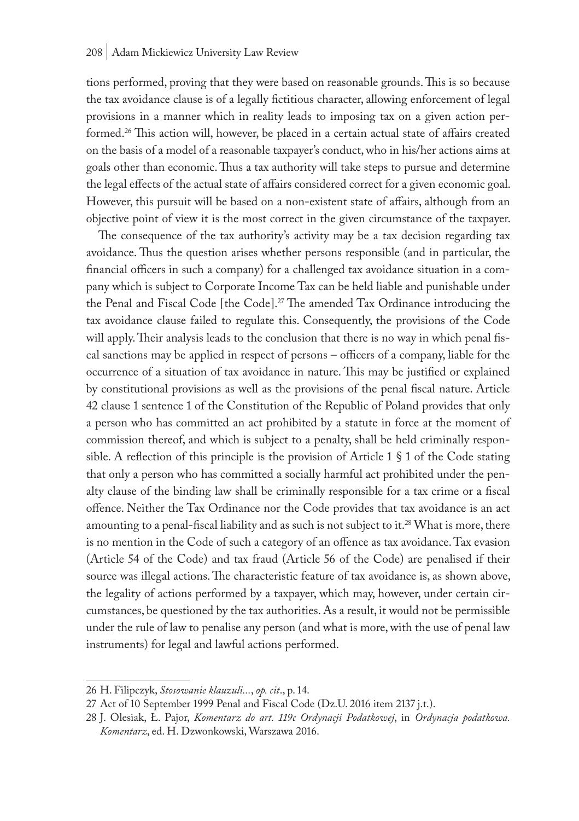tions performed, proving that they were based on reasonable grounds. This is so because the tax avoidance clause is of a legally fictitious character, allowing enforcement of legal provisions in a manner which in reality leads to imposing tax on a given action performed.<sup>26</sup> This action will, however, be placed in a certain actual state of affairs created on the basis of a model of a reasonable taxpayer's conduct, who in his/her actions aims at goals other than economic. Thus a tax authority will take steps to pursue and determine the legal effects of the actual state of affairs considered correct for a given economic goal. However, this pursuit will be based on a non-existent state of affairs, although from an objective point of view it is the most correct in the given circumstance of the taxpayer.

The consequence of the tax authority's activity may be a tax decision regarding tax avoidance. Thus the question arises whether persons responsible (and in particular, the financial officers in such a company) for a challenged tax avoidance situation in a company which is subject to Corporate Income Tax can be held liable and punishable under the Penal and Fiscal Code [the Code].27 The amended Tax Ordinance introducing the tax avoidance clause failed to regulate this. Consequently, the provisions of the Code will apply. Their analysis leads to the conclusion that there is no way in which penal fiscal sanctions may be applied in respect of persons – officers of a company, liable for the occurrence of a situation of tax avoidance in nature. This may be justified or explained by constitutional provisions as well as the provisions of the penal fiscal nature. Article 42 clause 1 sentence 1 of the Constitution of the Republic of Poland provides that only a person who has committed an act prohibited by a statute in force at the moment of commission thereof, and which is subject to a penalty, shall be held criminally responsible. A reflection of this principle is the provision of Article 1  $\S$  1 of the Code stating that only a person who has committed a socially harmful act prohibited under the penalty clause of the binding law shall be criminally responsible for a tax crime or a fiscal offence. Neither the Tax Ordinance nor the Code provides that tax avoidance is an act amounting to a penal-fiscal liability and as such is not subject to it.<sup>28</sup> What is more, there is no mention in the Code of such a category of an offence as tax avoidance. Tax evasion (Article 54 of the Code) and tax fraud (Article 56 of the Code) are penalised if their source was illegal actions. The characteristic feature of tax avoidance is, as shown above, the legality of actions performed by a taxpayer, which may, however, under certain circumstances, be questioned by the tax authorities. As a result, it would not be permissible under the rule of law to penalise any person (and what is more, with the use of penal law instruments) for legal and lawful actions performed.

<sup>26</sup> H. Filipczyk, *Stosowanie klauzuli...*, *op. cit*., p. 14.

<sup>27</sup> Act of 10 September 1999 Penal and Fiscal Code (Dz.U. 2016 item 2137 j.t.).

<sup>28</sup> J. Olesiak, Ł. Pajor, *Komentarz do art. 119c Ordynacji Podatkowej*, in *Ordynacja podatkowa. Komentarz*, ed. H. Dzwonkowski, Warszawa 2016.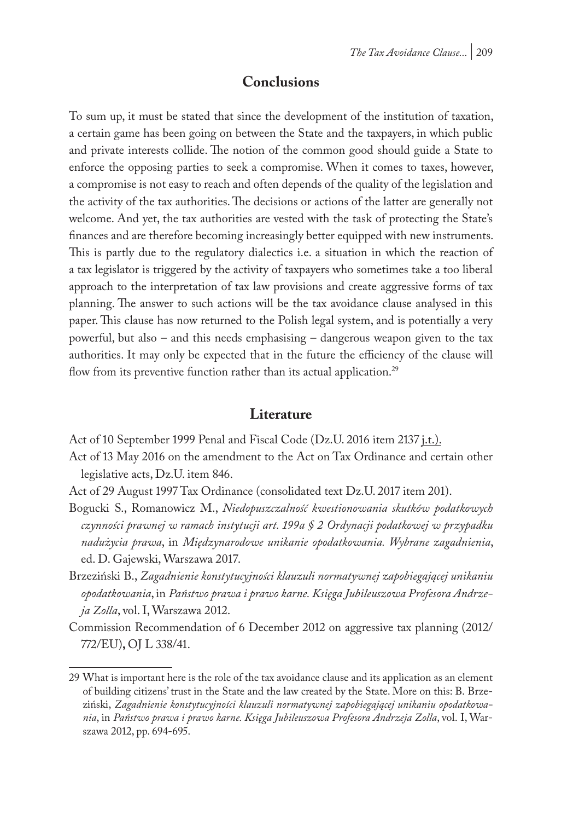### **Conclusions**

To sum up, it must be stated that since the development of the institution of taxation, a certain game has been going on between the State and the taxpayers, in which public and private interests collide. The notion of the common good should guide a State to enforce the opposing parties to seek a compromise. When it comes to taxes, however, a compromise is not easy to reach and often depends of the quality of the legislation and the activity of the tax authorities. The decisions or actions of the latter are generally not welcome. And yet, the tax authorities are vested with the task of protecting the State's finances and are therefore becoming increasingly better equipped with new instruments. This is partly due to the regulatory dialectics i.e. a situation in which the reaction of a tax legislator is triggered by the activity of taxpayers who sometimes take a too liberal approach to the interpretation of tax law provisions and create aggressive forms of tax planning. The answer to such actions will be the tax avoidance clause analysed in this paper. This clause has now returned to the Polish legal system, and is potentially a very powerful, but also – and this needs emphasising – dangerous weapon given to the tax authorities. It may only be expected that in the future the efficiency of the clause will flow from its preventive function rather than its actual application.<sup>29</sup>

### **Literature**

Act of 10 September 1999 Penal and Fiscal Code (Dz.U. 2016 item 2137 *j.t.)*.

Act of 13 May 2016 on the amendment to the Act on Tax Ordinance and certain other legislative acts, Dz.U. item 846.

- Act of 29 August 1997 Tax Ordinance (consolidated text Dz.U. 2017 item 201).
- Bogucki S., Romanowicz M., *Niedopuszczalność kwestionowania skutków podatkowych czynności prawnej w ramach instytucji art. 199a § 2 Ordynacji podatkowej w przypadku nadużycia prawa*, in *Międzynarodowe unikanie opodatkowania. Wybrane zagadnienia*, ed. D. Gajewski, Warszawa 2017.
- Brzeziński B., *Zagadnienie konstytucyjności klauzuli normatywnej zapobiegającej unikaniu opodatkowania*, in *Państwo prawa i prawo karne. Księga Jubileuszowa Profesora Andrzeja Zolla*, vol. I, Warszawa 2012.
- Commission Recommendation of 6 December 2012 on aggressive tax planning (2012/ 772/EU)**,** OJ L 338/41.

<sup>29</sup> What is important here is the role of the tax avoidance clause and its application as an element of building citizens' trust in the State and the law created by the State. More on this: B. Brzeziński, *Zagadnienie konstytucyjności klauzuli normatywnej zapobiegającej unikaniu opodatkowania*, in *Państwo prawa i prawo karne. Księga Jubileuszowa Profesora Andrzeja Zolla*, vol. I, Warszawa 2012, pp. 694-695.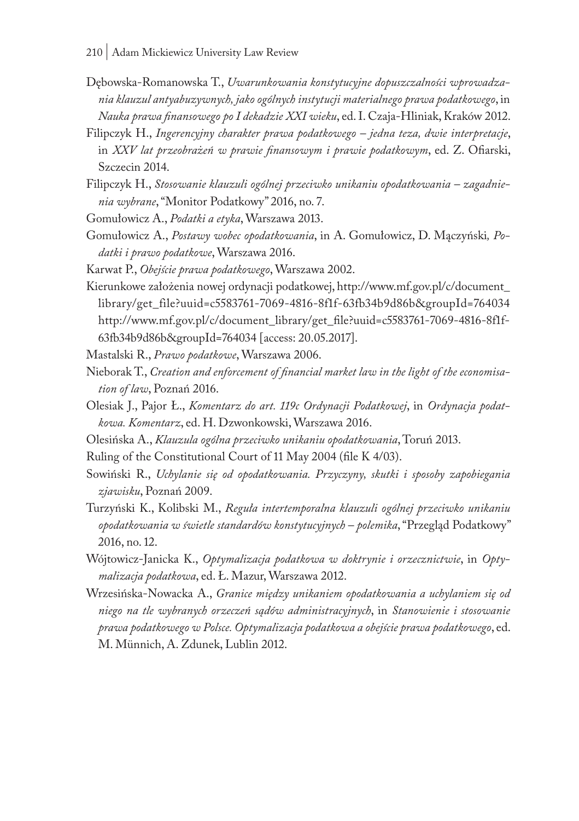- Dębowska-Romanowska T., *Uwarunkowania konstytucyjne dopuszczalności wprowadzania klauzul antyabuzywnych, jako ogólnych instytucji materialnego prawa podatkowego*, in *Nauka prawa finansowego po I dekadzie XXI wieku*, ed. I. Czaja-Hliniak, Kraków 2012.
- Filipczyk H., *Ingerencyjny charakter prawa podatkowego jedna teza, dwie interpretacje*, in *XXV lat przeobrażeń w prawie finansowym i prawie podatkowym*, ed. Z. Ofiarski, Szczecin 2014.
- Filipczyk H., *Stosowanie klauzuli ogólnej przeciwko unikaniu opodatkowania zagadnienia wybrane*, "Monitor Podatkowy" 2016, no. 7.
- Gomułowicz A., *Podatki a etyka*, Warszawa 2013.
- Gomułowicz A., *Postawy wobec opodatkowania*, in A. Gomułowicz, D. Mączyński*, Podatki i prawo podatkowe*, Warszawa 2016.
- Karwat P., *Obejście prawa podatkowego*, Warszawa 2002.
- Kierunkowe założenia nowej ordynacji podatkowej, http://www.mf.gov.pl/c/document\_ library/get\_file?uuid=c5583761-7069-4816-8f1f-63fb34b9d86b&groupId=764034 http://www.mf.gov.pl/c/document\_library/get\_file?uuid=c5583761-7069-4816-8f1f-63fb34b9d86b&groupId=764034 [access: 20.05.2017].
- Mastalski R., *Prawo podatkowe*, Warszawa 2006.
- Nieborak T., *Creation and enforcement of financial market law in the light of the economisation of law*, Poznań 2016.
- Olesiak J., Pajor Ł., *Komentarz do art. 119c Ordynacji Podatkowej*, in *Ordynacja podatkowa. Komentarz*, ed. H. Dzwonkowski, Warszawa 2016.
- Olesińska A., *Klauzula ogólna przeciwko unikaniu opodatkowania*, Toruń 2013.
- Ruling of the Constitutional Court of 11 May 2004 (file K 4/03).
- Sowiński R., *Uchylanie się od opodatkowania. Przyczyny, skutki i sposoby zapobiegania zjawisku*, Poznań 2009.
- Turzyński K., Kolibski M., *Reguła intertemporalna klauzuli ogólnej przeciwko unikaniu opodatkowania w świetle standardów konstytucyjnych – polemika*, "Przegląd Podatkowy" 2016, no. 12.
- Wójtowicz-Janicka K., *Optymalizacja podatkowa w doktrynie i orzecznictwie*, in *Optymalizacja podatkowa*, ed. Ł. Mazur, Warszawa 2012.
- Wrzesińska-Nowacka A., *Granice między unikaniem opodatkowania a uchylaniem się od niego na tle wybranych orzeczeń sądów administracyjnych*, in *Stanowienie i stosowanie prawa podatkowego w Polsce. Optymalizacja podatkowa a obejście prawa podatkowego*, ed. M. Münnich, A. Zdunek, Lublin 2012.